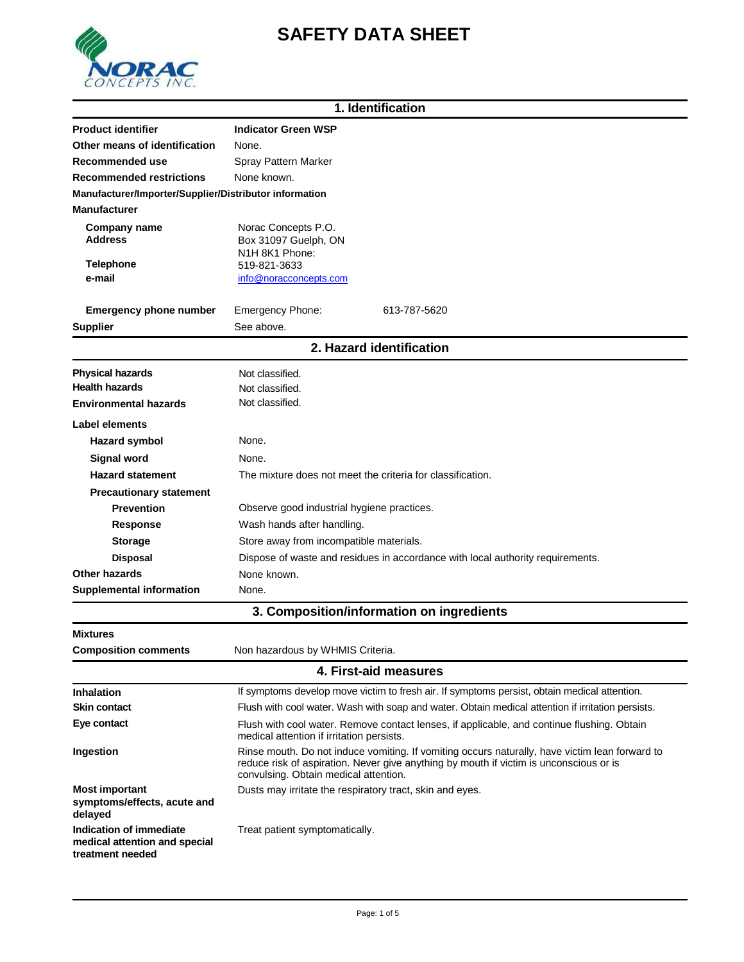

# **SAFETY DATA SHEET**

| 1. Identification                                      |                                                                                |                          |
|--------------------------------------------------------|--------------------------------------------------------------------------------|--------------------------|
| <b>Product identifier</b>                              | <b>Indicator Green WSP</b>                                                     |                          |
| Other means of identification                          | None.                                                                          |                          |
| Recommended use                                        | Spray Pattern Marker                                                           |                          |
| <b>Recommended restrictions</b>                        | None known.                                                                    |                          |
| Manufacturer/Importer/Supplier/Distributor information |                                                                                |                          |
| <b>Manufacturer</b>                                    |                                                                                |                          |
| Company name<br><b>Address</b>                         | Norac Concepts P.O.<br>Box 31097 Guelph, ON<br>N1H 8K1 Phone:                  |                          |
| <b>Telephone</b>                                       | 519-821-3633                                                                   |                          |
| e-mail                                                 | info@noracconcepts.com                                                         |                          |
|                                                        |                                                                                |                          |
| <b>Emergency phone number</b>                          | Emergency Phone:                                                               | 613-787-5620             |
| <b>Supplier</b>                                        | See above.                                                                     |                          |
|                                                        |                                                                                | 2. Hazard identification |
| <b>Physical hazards</b>                                | Not classified.                                                                |                          |
| <b>Health hazards</b>                                  | Not classified.                                                                |                          |
| <b>Environmental hazards</b>                           | Not classified.                                                                |                          |
| Label elements                                         |                                                                                |                          |
| <b>Hazard symbol</b>                                   | None.                                                                          |                          |
| <b>Signal word</b>                                     | None.                                                                          |                          |
| <b>Hazard statement</b>                                | The mixture does not meet the criteria for classification.                     |                          |
| <b>Precautionary statement</b>                         |                                                                                |                          |
| <b>Prevention</b>                                      | Observe good industrial hygiene practices.                                     |                          |
| <b>Response</b>                                        | Wash hands after handling.                                                     |                          |
| <b>Storage</b>                                         | Store away from incompatible materials.                                        |                          |
| <b>Disposal</b>                                        | Dispose of waste and residues in accordance with local authority requirements. |                          |
| <b>Other hazards</b>                                   | None known.                                                                    |                          |
| <b>Supplemental information</b>                        | None.                                                                          |                          |

| 3. Composition/information on ingredients |  |
|-------------------------------------------|--|
|-------------------------------------------|--|

| <b>Mixtures</b>                                                              |                                                                                                                                                                                                                                   |  |  |
|------------------------------------------------------------------------------|-----------------------------------------------------------------------------------------------------------------------------------------------------------------------------------------------------------------------------------|--|--|
| <b>Composition comments</b>                                                  | Non hazardous by WHMIS Criteria.                                                                                                                                                                                                  |  |  |
| 4. First-aid measures                                                        |                                                                                                                                                                                                                                   |  |  |
| Inhalation                                                                   | If symptoms develop move victim to fresh air. If symptoms persist, obtain medical attention.                                                                                                                                      |  |  |
| <b>Skin contact</b>                                                          | Flush with cool water. Wash with soap and water. Obtain medical attention if irritation persists.                                                                                                                                 |  |  |
| Eye contact                                                                  | Flush with cool water. Remove contact lenses, if applicable, and continue flushing. Obtain<br>medical attention if irritation persists.                                                                                           |  |  |
| Ingestion                                                                    | Rinse mouth. Do not induce vomiting. If vomiting occurs naturally, have victim lean forward to<br>reduce risk of aspiration. Never give anything by mouth if victim is unconscious or is<br>convulsing. Obtain medical attention. |  |  |
| <b>Most important</b><br>symptoms/effects, acute and<br>delayed              | Dusts may irritate the respiratory tract, skin and eyes.                                                                                                                                                                          |  |  |
| Indication of immediate<br>medical attention and special<br>treatment needed | Treat patient symptomatically.                                                                                                                                                                                                    |  |  |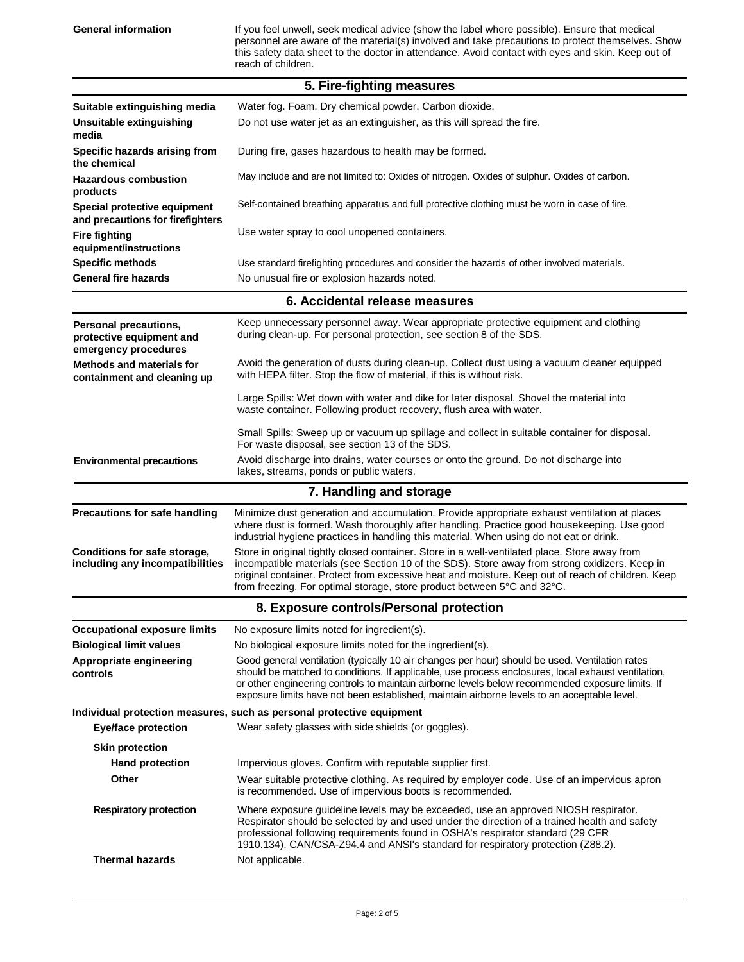General information **If you feel unwell, seek medical advice** (show the label where possible). Ensure that medical personnel are aware of the material(s) involved and take precautions to protect themselves. Show this safety data sheet to the doctor in attendance. Avoid contact with eyes and skin. Keep out of reach of children.

| 5. Fire-fighting measures                                                        |                                                                                                                                                                                                                                                                                                                                                                                                        |  |
|----------------------------------------------------------------------------------|--------------------------------------------------------------------------------------------------------------------------------------------------------------------------------------------------------------------------------------------------------------------------------------------------------------------------------------------------------------------------------------------------------|--|
| Suitable extinguishing media                                                     | Water fog. Foam. Dry chemical powder. Carbon dioxide.                                                                                                                                                                                                                                                                                                                                                  |  |
| Unsuitable extinguishing<br>media                                                | Do not use water jet as an extinguisher, as this will spread the fire.                                                                                                                                                                                                                                                                                                                                 |  |
| Specific hazards arising from<br>the chemical                                    | During fire, gases hazardous to health may be formed.                                                                                                                                                                                                                                                                                                                                                  |  |
| <b>Hazardous combustion</b><br>products                                          | May include and are not limited to: Oxides of nitrogen. Oxides of sulphur. Oxides of carbon.                                                                                                                                                                                                                                                                                                           |  |
| Special protective equipment<br>and precautions for firefighters                 | Self-contained breathing apparatus and full protective clothing must be worn in case of fire.                                                                                                                                                                                                                                                                                                          |  |
| <b>Fire fighting</b><br>equipment/instructions                                   | Use water spray to cool unopened containers.                                                                                                                                                                                                                                                                                                                                                           |  |
| Specific methods                                                                 | Use standard firefighting procedures and consider the hazards of other involved materials.                                                                                                                                                                                                                                                                                                             |  |
| <b>General fire hazards</b>                                                      | No unusual fire or explosion hazards noted.                                                                                                                                                                                                                                                                                                                                                            |  |
|                                                                                  | 6. Accidental release measures                                                                                                                                                                                                                                                                                                                                                                         |  |
| <b>Personal precautions,</b><br>protective equipment and<br>emergency procedures | Keep unnecessary personnel away. Wear appropriate protective equipment and clothing<br>during clean-up. For personal protection, see section 8 of the SDS.                                                                                                                                                                                                                                             |  |
| <b>Methods and materials for</b><br>containment and cleaning up                  | Avoid the generation of dusts during clean-up. Collect dust using a vacuum cleaner equipped<br>with HEPA filter. Stop the flow of material, if this is without risk.                                                                                                                                                                                                                                   |  |
|                                                                                  | Large Spills: Wet down with water and dike for later disposal. Shovel the material into<br>waste container. Following product recovery, flush area with water.                                                                                                                                                                                                                                         |  |
|                                                                                  | Small Spills: Sweep up or vacuum up spillage and collect in suitable container for disposal.<br>For waste disposal, see section 13 of the SDS.                                                                                                                                                                                                                                                         |  |
| <b>Environmental precautions</b>                                                 | Avoid discharge into drains, water courses or onto the ground. Do not discharge into<br>lakes, streams, ponds or public waters.                                                                                                                                                                                                                                                                        |  |
|                                                                                  | 7. Handling and storage                                                                                                                                                                                                                                                                                                                                                                                |  |
| <b>Precautions for safe handling</b>                                             | Minimize dust generation and accumulation. Provide appropriate exhaust ventilation at places<br>where dust is formed. Wash thoroughly after handling. Practice good housekeeping. Use good<br>industrial hygiene practices in handling this material. When using do not eat or drink.                                                                                                                  |  |
| Conditions for safe storage,<br>including any incompatibilities                  | Store in original tightly closed container. Store in a well-ventilated place. Store away from<br>incompatible materials (see Section 10 of the SDS). Store away from strong oxidizers. Keep in<br>original container. Protect from excessive heat and moisture. Keep out of reach of children. Keep<br>from freezing. For optimal storage, store product between 5°C and 32°C.                         |  |
|                                                                                  | 8. Exposure controls/Personal protection                                                                                                                                                                                                                                                                                                                                                               |  |
| <b>Occupational exposure limits</b>                                              | No exposure limits noted for ingredient(s).                                                                                                                                                                                                                                                                                                                                                            |  |
| <b>Biological limit values</b>                                                   | No biological exposure limits noted for the ingredient(s).                                                                                                                                                                                                                                                                                                                                             |  |
| Appropriate engineering<br>controls                                              | Good general ventilation (typically 10 air changes per hour) should be used. Ventilation rates<br>should be matched to conditions. If applicable, use process enclosures, local exhaust ventilation,<br>or other engineering controls to maintain airborne levels below recommended exposure limits. If<br>exposure limits have not been established, maintain airborne levels to an acceptable level. |  |
|                                                                                  | Individual protection measures, such as personal protective equipment                                                                                                                                                                                                                                                                                                                                  |  |
| <b>Eye/face protection</b>                                                       | Wear safety glasses with side shields (or goggles).                                                                                                                                                                                                                                                                                                                                                    |  |
| <b>Skin protection</b>                                                           |                                                                                                                                                                                                                                                                                                                                                                                                        |  |
| <b>Hand protection</b>                                                           | Impervious gloves. Confirm with reputable supplier first.                                                                                                                                                                                                                                                                                                                                              |  |
| Other                                                                            | Wear suitable protective clothing. As required by employer code. Use of an impervious apron<br>is recommended. Use of impervious boots is recommended.                                                                                                                                                                                                                                                 |  |
| <b>Respiratory protection</b>                                                    | Where exposure guideline levels may be exceeded, use an approved NIOSH respirator.<br>Respirator should be selected by and used under the direction of a trained health and safety<br>professional following requirements found in OSHA's respirator standard (29 CFR<br>1910.134), CAN/CSA-Z94.4 and ANSI's standard for respiratory protection (Z88.2).                                              |  |
|                                                                                  |                                                                                                                                                                                                                                                                                                                                                                                                        |  |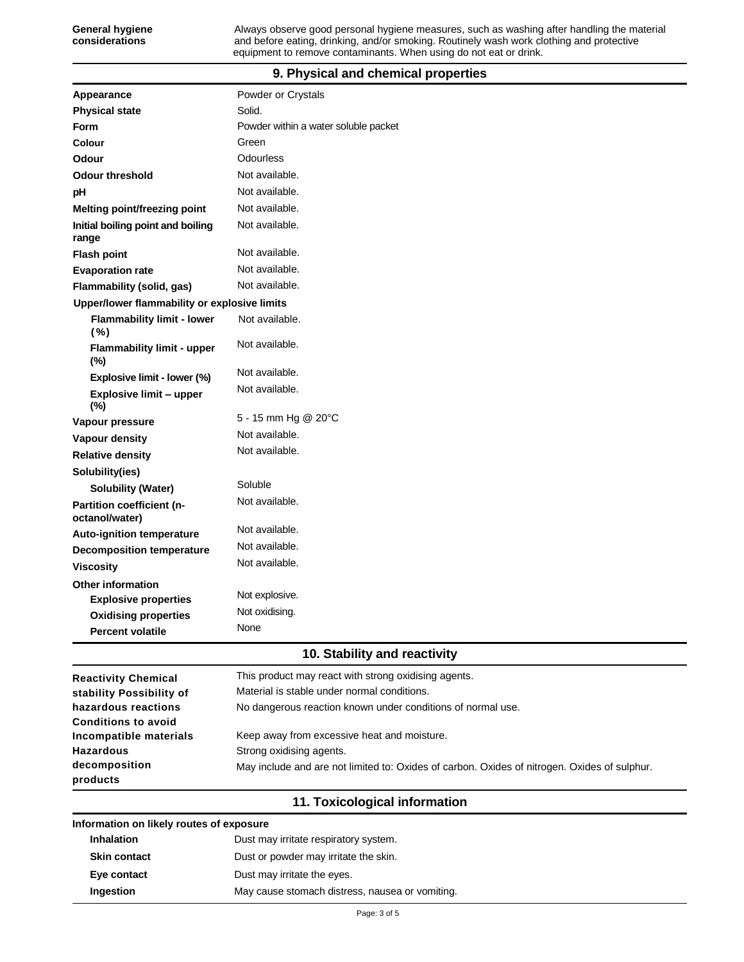## **9. Physical and chemical properties**

| Appearance                                   | Powder or Crystals                   |
|----------------------------------------------|--------------------------------------|
| <b>Physical state</b>                        | Solid.                               |
| <b>Form</b>                                  | Powder within a water soluble packet |
| Colour                                       | Green                                |
| Odour                                        | Odourless                            |
| <b>Odour threshold</b>                       | Not available.                       |
| pH                                           | Not available.                       |
| <b>Melting point/freezing point</b>          | Not available.                       |
| Initial boiling point and boiling<br>range   | Not available.                       |
| <b>Flash point</b>                           | Not available.                       |
| <b>Evaporation rate</b>                      | Not available.                       |
| Flammability (solid, gas)                    | Not available.                       |
| Upper/lower flammability or explosive limits |                                      |
| <b>Flammability limit - lower</b><br>( %)    | Not available.                       |
| <b>Flammability limit - upper</b><br>$(\%)$  | Not available.                       |
| Explosive limit - lower (%)                  | Not available.                       |
| <b>Explosive limit - upper</b><br>(%)        | Not available.                       |
| Vapour pressure                              | 5 - 15 mm Hg @ 20°C                  |
| Vapour density                               | Not available.                       |
| <b>Relative density</b>                      | Not available.                       |
| Solubility(ies)                              |                                      |
| <b>Solubility (Water)</b>                    | Soluble                              |
| Partition coefficient (n-<br>octanol/water)  | Not available.                       |
| <b>Auto-ignition temperature</b>             | Not available.                       |
| <b>Decomposition temperature</b>             | Not available.                       |
| <b>Viscosity</b>                             | Not available.                       |
| <b>Other information</b>                     |                                      |
| <b>Explosive properties</b>                  | Not explosive.                       |
| <b>Oxidising properties</b>                  | Not oxidising.                       |
| <b>Percent volatile</b>                      | None                                 |

### **10. Stability and reactivity**

| <b>Reactivity Chemical</b> | This product may react with strong oxidising agents.                                         |
|----------------------------|----------------------------------------------------------------------------------------------|
| stability Possibility of   | Material is stable under normal conditions.                                                  |
| hazardous reactions        | No dangerous reaction known under conditions of normal use.                                  |
| <b>Conditions to avoid</b> |                                                                                              |
| Incompatible materials     | Keep away from excessive heat and moisture.                                                  |
| <b>Hazardous</b>           | Strong oxidising agents.                                                                     |
| decomposition<br>products  | May include and are not limited to: Oxides of carbon. Oxides of nitrogen. Oxides of sulphur. |

## **11. Toxicological information**

#### **Information on likely routes of exposure**

| <b>Inhalation</b>   | Dust may irritate respiratory system.           |  |
|---------------------|-------------------------------------------------|--|
| <b>Skin contact</b> | Dust or powder may irritate the skin.           |  |
| Eye contact         | Dust may irritate the eyes.                     |  |
| Ingestion           | May cause stomach distress, nausea or vomiting. |  |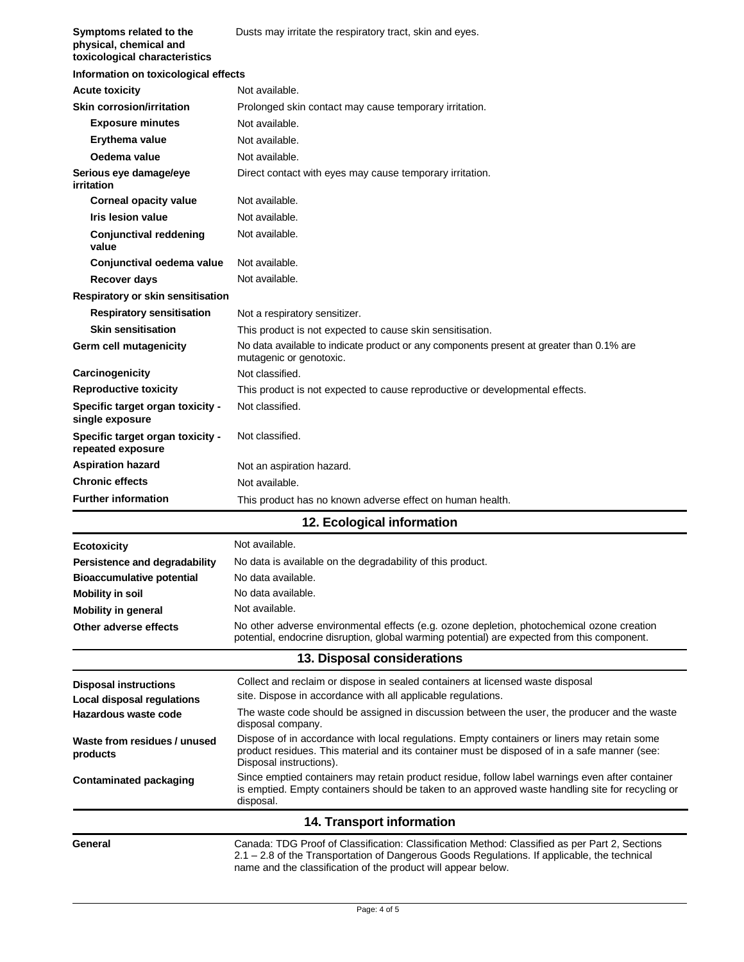| Symptoms related to the<br>physical, chemical and<br>toxicological characteristics | Dusts may irritate the respiratory tract, skin and eyes.                                                                                                                                                                                                        |
|------------------------------------------------------------------------------------|-----------------------------------------------------------------------------------------------------------------------------------------------------------------------------------------------------------------------------------------------------------------|
| Information on toxicological effects                                               |                                                                                                                                                                                                                                                                 |
| <b>Acute toxicity</b>                                                              | Not available.                                                                                                                                                                                                                                                  |
| <b>Skin corrosion/irritation</b>                                                   | Prolonged skin contact may cause temporary irritation.                                                                                                                                                                                                          |
| <b>Exposure minutes</b>                                                            | Not available.                                                                                                                                                                                                                                                  |
| Erythema value                                                                     | Not available.                                                                                                                                                                                                                                                  |
| Oedema value                                                                       | Not available.                                                                                                                                                                                                                                                  |
| Serious eye damage/eye<br>irritation                                               | Direct contact with eyes may cause temporary irritation.                                                                                                                                                                                                        |
| <b>Corneal opacity value</b>                                                       | Not available.                                                                                                                                                                                                                                                  |
| Iris lesion value                                                                  | Not available.                                                                                                                                                                                                                                                  |
| <b>Conjunctival reddening</b><br>value                                             | Not available.                                                                                                                                                                                                                                                  |
| Conjunctival oedema value                                                          | Not available.                                                                                                                                                                                                                                                  |
| <b>Recover days</b>                                                                | Not available.                                                                                                                                                                                                                                                  |
| Respiratory or skin sensitisation                                                  |                                                                                                                                                                                                                                                                 |
| <b>Respiratory sensitisation</b>                                                   | Not a respiratory sensitizer.                                                                                                                                                                                                                                   |
| <b>Skin sensitisation</b>                                                          | This product is not expected to cause skin sensitisation.                                                                                                                                                                                                       |
| Germ cell mutagenicity                                                             | No data available to indicate product or any components present at greater than 0.1% are<br>mutagenic or genotoxic.                                                                                                                                             |
| Carcinogenicity                                                                    | Not classified.                                                                                                                                                                                                                                                 |
| <b>Reproductive toxicity</b>                                                       | This product is not expected to cause reproductive or developmental effects.                                                                                                                                                                                    |
| Specific target organ toxicity -<br>single exposure                                | Not classified.                                                                                                                                                                                                                                                 |
| Specific target organ toxicity -<br>repeated exposure                              | Not classified.                                                                                                                                                                                                                                                 |
| <b>Aspiration hazard</b>                                                           | Not an aspiration hazard.                                                                                                                                                                                                                                       |
| <b>Chronic effects</b>                                                             | Not available.                                                                                                                                                                                                                                                  |
| <b>Further information</b>                                                         | This product has no known adverse effect on human health.                                                                                                                                                                                                       |
|                                                                                    | 12. Ecological information                                                                                                                                                                                                                                      |
| <b>Ecotoxicity</b>                                                                 | Not available.                                                                                                                                                                                                                                                  |
| Persistence and degradability                                                      | No data is available on the degradability of this product.                                                                                                                                                                                                      |
| <b>Bioaccumulative potential</b>                                                   | No data available.                                                                                                                                                                                                                                              |
| <b>Mobility in soil</b>                                                            | No data available.                                                                                                                                                                                                                                              |
| <b>Mobility in general</b>                                                         | Not available.                                                                                                                                                                                                                                                  |
| Other adverse effects                                                              | No other adverse environmental effects (e.g. ozone depletion, photochemical ozone creation<br>potential, endocrine disruption, global warming potential) are expected from this component.                                                                      |
|                                                                                    | 13. Disposal considerations                                                                                                                                                                                                                                     |
| <b>Disposal instructions</b><br>Local disposal regulations                         | Collect and reclaim or dispose in sealed containers at licensed waste disposal<br>site. Dispose in accordance with all applicable regulations.                                                                                                                  |
| Hazardous waste code                                                               | The waste code should be assigned in discussion between the user, the producer and the waste<br>disposal company.                                                                                                                                               |
| Waste from residues / unused<br>products                                           | Dispose of in accordance with local regulations. Empty containers or liners may retain some<br>product residues. This material and its container must be disposed of in a safe manner (see:<br>Disposal instructions).                                          |
| <b>Contaminated packaging</b>                                                      | Since emptied containers may retain product residue, follow label warnings even after container<br>is emptied. Empty containers should be taken to an approved waste handling site for recycling or<br>disposal.                                                |
|                                                                                    | 14. Transport information                                                                                                                                                                                                                                       |
| General                                                                            | Canada: TDG Proof of Classification: Classification Method: Classified as per Part 2, Sections<br>2.1 - 2.8 of the Transportation of Dangerous Goods Regulations. If applicable, the technical<br>name and the classification of the product will appear below. |